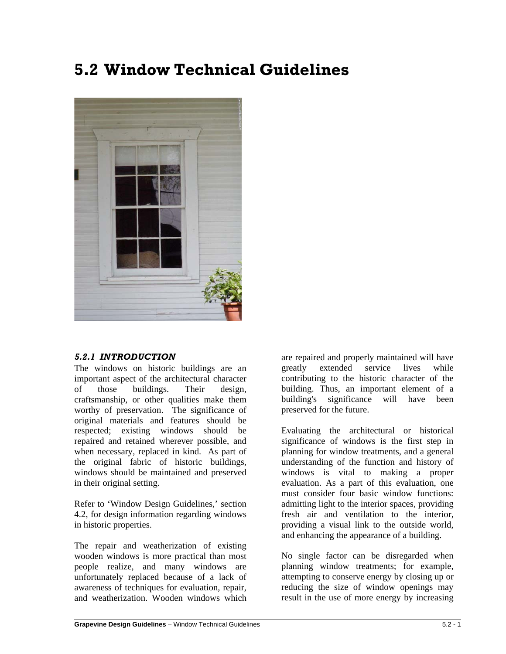# **5.2 Window Technical Guidelines**



#### *5.2.1 INTRODUCTION*

The windows on historic buildings are an important aspect of the architectural character of those buildings. Their design, craftsmanship, or other qualities make them worthy of preservation. The significance of original materials and features should be respected; existing windows should be repaired and retained wherever possible, and when necessary, replaced in kind. As part of the original fabric of historic buildings, windows should be maintained and preserved in their original setting.

Refer to 'Window Design Guidelines,' section 4.2, for design information regarding windows in historic properties.

The repair and weatherization of existing wooden windows is more practical than most people realize, and many windows are unfortunately replaced because of a lack of awareness of techniques for evaluation, repair, and weatherization. Wooden windows which

are repaired and properly maintained will have greatly extended service lives while contributing to the historic character of the building. Thus, an important element of a building's significance will have been preserved for the future.

Evaluating the architectural or historical significance of windows is the first step in planning for window treatments, and a general understanding of the function and history of windows is vital to making a proper evaluation. As a part of this evaluation, one must consider four basic window functions: admitting light to the interior spaces, providing fresh air and ventilation to the interior, providing a visual link to the outside world, and enhancing the appearance of a building.

No single factor can be disregarded when planning window treatments; for example, attempting to conserve energy by closing up or reducing the size of window openings may result in the use of more energy by increasing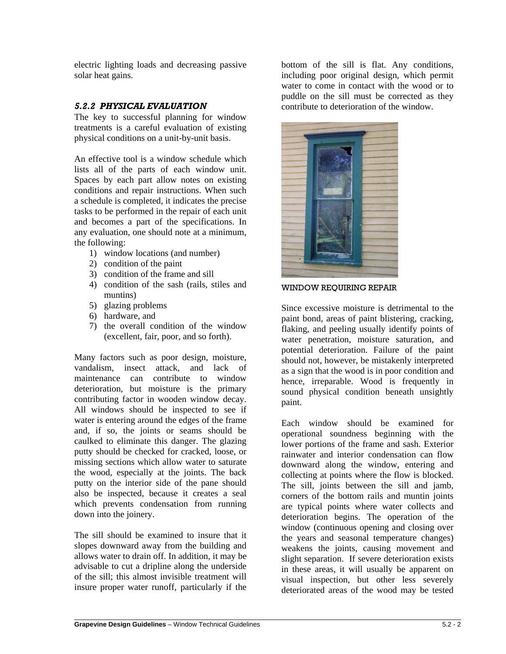electric lighting loads and decreasing passive solar heat gains.

## *5.2.2 PHYSICAL EVALUATION*

The key to successful planning for window treatments is a careful evaluation of existing physical conditions on a unit-by-unit basis.

An effective tool is a window schedule which lists all of the parts of each window unit. Spaces by each part allow notes on existing conditions and repair instructions. When such a schedule is completed, it indicates the precise tasks to be performed in the repair of each unit and becomes a part of the specifications. In any evaluation, one should note at a minimum, the following:

- 1) window locations (and number)
- 2) condition of the paint
- 3) condition of the frame and sill
- 4) condition of the sash (rails, stiles and muntins)
- 5) glazing problems
- 6) hardware, and
- 7) the overall condition of the window (excellent, fair, poor, and so forth).

Many factors such as poor design, moisture, vandalism, insect attack, and lack of maintenance can contribute to window deterioration, but moisture is the primary contributing factor in wooden window decay. All windows should be inspected to see if water is entering around the edges of the frame and, if so, the joints or seams should be caulked to eliminate this danger. The glazing putty should be checked for cracked, loose, or missing sections which allow water to saturate the wood, especially at the joints. The back putty on the interior side of the pane should also be inspected, because it creates a seal which prevents condensation from running down into the joinery.

The sill should be examined to insure that it slopes downward away from the building and allows water to drain off. In addition, it may be advisable to cut a dripline along the underside of the sill; this almost invisible treatment will insure proper water runoff, particularly if the

bottom of the sill is flat. Any conditions, including poor original design, which permit water to come in contact with the wood or to puddle on the sill must be corrected as they contribute to deterioration of the window.



#### WINDOW REQUIRING REPAIR

Since excessive moisture is detrimental to the paint bond, areas of paint blistering, cracking, flaking, and peeling usually identify points of water penetration, moisture saturation, and potential deterioration. Failure of the paint should not, however, be mistakenly interpreted as a sign that the wood is in poor condition and hence, irreparable. Wood is frequently in sound physical condition beneath unsightly paint.

Each window should be examined for operational soundness beginning with the lower portions of the frame and sash. Exterior rainwater and interior condensation can flow downward along the window, entering and collecting at points where the flow is blocked. The sill, joints between the sill and jamb, corners of the bottom rails and muntin joints are typical points where water collects and deterioration begins. The operation of the window (continuous opening and closing over the years and seasonal temperature changes) weakens the joints, causing movement and slight separation. If severe deterioration exists in these areas, it will usually be apparent on visual inspection, but other less severely deteriorated areas of the wood may be tested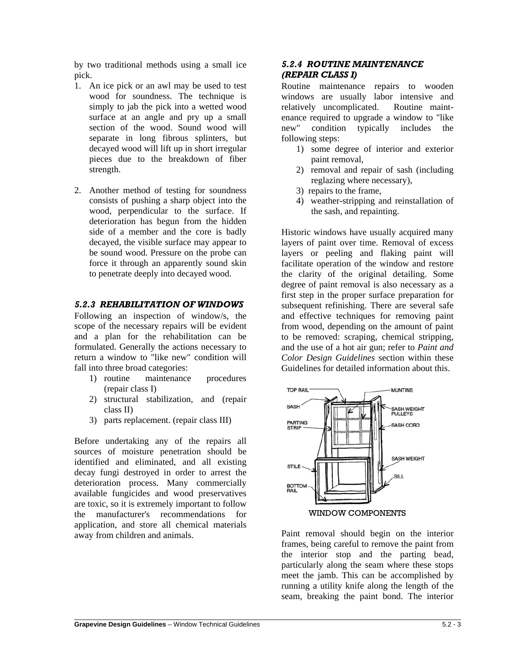by two traditional methods using a small ice pick.

- 1. An ice pick or an awl may be used to test wood for soundness. The technique is simply to jab the pick into a wetted wood surface at an angle and pry up a small section of the wood. Sound wood will separate in long fibrous splinters, but decayed wood will lift up in short irregular pieces due to the breakdown of fiber strength.
- 2. Another method of testing for soundness consists of pushing a sharp object into the wood, perpendicular to the surface. If deterioration has begun from the hidden side of a member and the core is badly decayed, the visible surface may appear to be sound wood. Pressure on the probe can force it through an apparently sound skin to penetrate deeply into decayed wood.

#### *5.2.3 REHABILITATION OF WINDOWS*

Following an inspection of window/s, the scope of the necessary repairs will be evident and a plan for the rehabilitation can be formulated. Generally the actions necessary to return a window to "like new" condition will fall into three broad categories:

- 1) routine maintenance procedures (repair class I)
- 2) structural stabilization, and (repair class II)
- 3) parts replacement. (repair class III)

Before undertaking any of the repairs all sources of moisture penetration should be identified and eliminated, and all existing decay fungi destroyed in order to arrest the deterioration process. Many commercially available fungicides and wood preservatives are toxic, so it is extremely important to follow the manufacturer's recommendations for application, and store all chemical materials away from children and animals.

#### *5.2.4 ROUTINE MAINTENANCE (REPAIR CLASS I)*

Routine maintenance repairs to wooden windows are usually labor intensive and relatively uncomplicated. Routine maintenance required to upgrade a window to "like new" condition typically includes the following steps:

- 1) some degree of interior and exterior paint removal,
- 2) removal and repair of sash (including reglazing where necessary),
- 3) repairs to the frame,
- 4) weather-stripping and reinstallation of the sash, and repainting.

Historic windows have usually acquired many layers of paint over time. Removal of excess layers or peeling and flaking paint will facilitate operation of the window and restore the clarity of the original detailing. Some degree of paint removal is also necessary as a first step in the proper surface preparation for subsequent refinishing. There are several safe and effective techniques for removing paint from wood, depending on the amount of paint to be removed: scraping, chemical stripping, and the use of a hot air gun; refer to *Paint and Color Design Guidelines* section within these Guidelines for detailed information about this.



Paint removal should begin on the interior frames, being careful to remove the paint from the interior stop and the parting bead, particularly along the seam where these stops meet the jamb. This can be accomplished by running a utility knife along the length of the seam, breaking the paint bond. The interior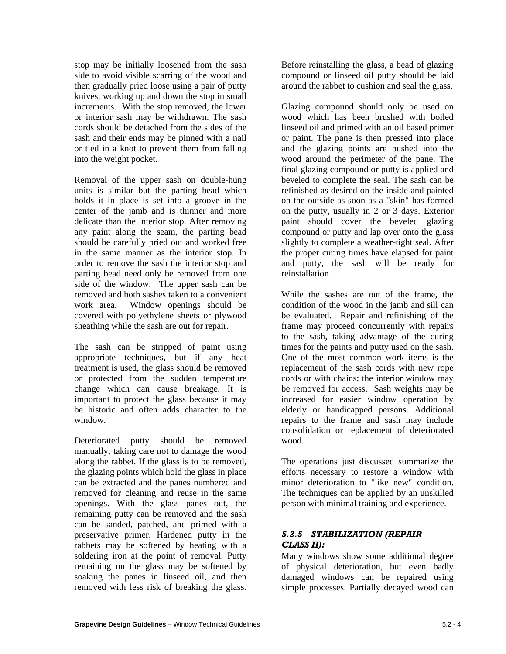stop may be initially loosened from the sash side to avoid visible scarring of the wood and then gradually pried loose using a pair of putty knives, working up and down the stop in small increments. With the stop removed, the lower or interior sash may be withdrawn. The sash cords should be detached from the sides of the sash and their ends may be pinned with a nail or tied in a knot to prevent them from falling into the weight pocket.

Removal of the upper sash on double-hung units is similar but the parting bead which holds it in place is set into a groove in the center of the jamb and is thinner and more delicate than the interior stop. After removing any paint along the seam, the parting bead should be carefully pried out and worked free in the same manner as the interior stop. In order to remove the sash the interior stop and parting bead need only be removed from one side of the window. The upper sash can be removed and both sashes taken to a convenient work area. Window openings should be covered with polyethylene sheets or plywood sheathing while the sash are out for repair.

The sash can be stripped of paint using appropriate techniques, but if any heat treatment is used, the glass should be removed or protected from the sudden temperature change which can cause breakage. It is important to protect the glass because it may be historic and often adds character to the window.

Deteriorated putty should be removed manually, taking care not to damage the wood along the rabbet. If the glass is to be removed, the glazing points which hold the glass in place can be extracted and the panes numbered and removed for cleaning and reuse in the same openings. With the glass panes out, the remaining putty can be removed and the sash can be sanded, patched, and primed with a preservative primer. Hardened putty in the rabbets may be softened by heating with a soldering iron at the point of removal. Putty remaining on the glass may be softened by soaking the panes in linseed oil, and then removed with less risk of breaking the glass.

Before reinstalling the glass, a bead of glazing compound or linseed oil putty should be laid around the rabbet to cushion and seal the glass.

Glazing compound should only be used on wood which has been brushed with boiled linseed oil and primed with an oil based primer or paint. The pane is then pressed into place and the glazing points are pushed into the wood around the perimeter of the pane. The final glazing compound or putty is applied and beveled to complete the seal. The sash can be refinished as desired on the inside and painted on the outside as soon as a "skin" has formed on the putty, usually in 2 or 3 days. Exterior paint should cover the beveled glazing compound or putty and lap over onto the glass slightly to complete a weather-tight seal. After the proper curing times have elapsed for paint and putty, the sash will be ready for reinstallation.

While the sashes are out of the frame, the condition of the wood in the jamb and sill can be evaluated. Repair and refinishing of the frame may proceed concurrently with repairs to the sash, taking advantage of the curing times for the paints and putty used on the sash. One of the most common work items is the replacement of the sash cords with new rope cords or with chains; the interior window may be removed for access. Sash weights may be increased for easier window operation by elderly or handicapped persons. Additional repairs to the frame and sash may include consolidation or replacement of deteriorated wood.

The operations just discussed summarize the efforts necessary to restore a window with minor deterioration to "like new" condition. The techniques can be applied by an unskilled person with minimal training and experience.

#### *5.2.5 STABILIZATION (REPAIR CLASS II):*

Many windows show some additional degree of physical deterioration, but even badly damaged windows can be repaired using simple processes. Partially decayed wood can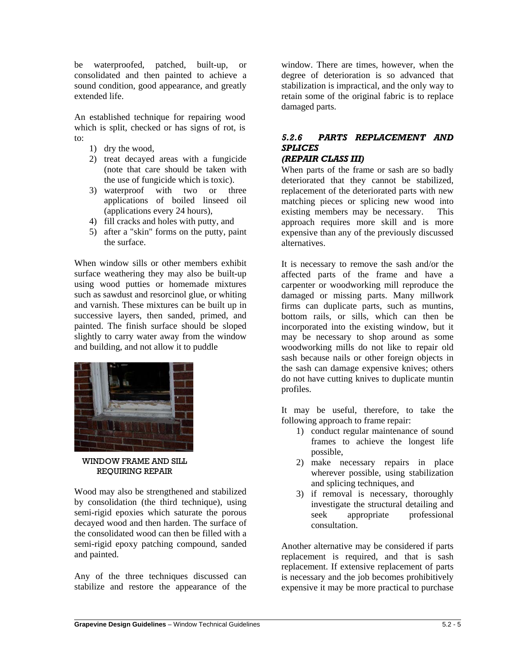be waterproofed, patched, built-up, or consolidated and then painted to achieve a sound condition, good appearance, and greatly extended life.

An established technique for repairing wood which is split, checked or has signs of rot, is to:

- 1) dry the wood,
- 2) treat decayed areas with a fungicide (note that care should be taken with the use of fungicide which is toxic).
- 3) waterproof with two or three applications of boiled linseed oil (applications every 24 hours),
- 4) fill cracks and holes with putty, and
- 5) after a "skin" forms on the putty, paint the surface.

When window sills or other members exhibit surface weathering they may also be built-up using wood putties or homemade mixtures such as sawdust and resorcinol glue, or whiting and varnish. These mixtures can be built up in successive layers, then sanded, primed, and painted. The finish surface should be sloped slightly to carry water away from the window and building, and not allow it to puddle



WINDOW FRAME AND SILL REQUIRING REPAIR

Wood may also be strengthened and stabilized by consolidation (the third technique), using semi-rigid epoxies which saturate the porous decayed wood and then harden. The surface of the consolidated wood can then be filled with a semi-rigid epoxy patching compound, sanded and painted.

Any of the three techniques discussed can stabilize and restore the appearance of the

window. There are times, however, when the degree of deterioration is so advanced that stabilization is impractical, and the only way to retain some of the original fabric is to replace damaged parts.

# *5.2.6 PARTS REPLACEMENT AND SPLICES*

## *(REPAIR CLASS III)*

When parts of the frame or sash are so badly deteriorated that they cannot be stabilized, replacement of the deteriorated parts with new matching pieces or splicing new wood into existing members may be necessary. This approach requires more skill and is more expensive than any of the previously discussed alternatives.

It is necessary to remove the sash and/or the affected parts of the frame and have a carpenter or woodworking mill reproduce the damaged or missing parts. Many millwork firms can duplicate parts, such as muntins, bottom rails, or sills, which can then be incorporated into the existing window, but it may be necessary to shop around as some woodworking mills do not like to repair old sash because nails or other foreign objects in the sash can damage expensive knives; others do not have cutting knives to duplicate muntin profiles.

It may be useful, therefore, to take the following approach to frame repair:

- 1) conduct regular maintenance of sound frames to achieve the longest life possible,
- 2) make necessary repairs in place wherever possible, using stabilization and splicing techniques, and
- 3) if removal is necessary, thoroughly investigate the structural detailing and seek appropriate professional consultation.

Another alternative may be considered if parts replacement is required, and that is sash replacement. If extensive replacement of parts is necessary and the job becomes prohibitively expensive it may be more practical to purchase